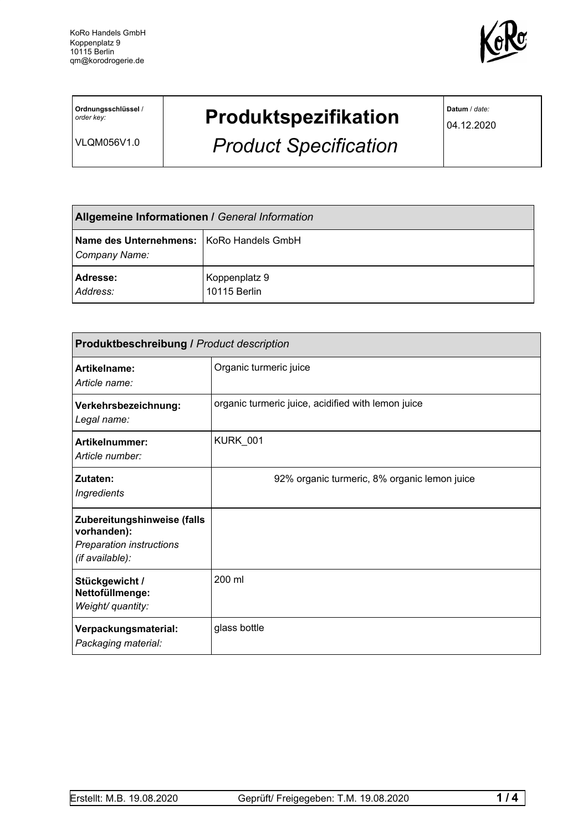

**Ordnungsschlüssel** / *order key:*

VLQM056V1.0

## **Produktspezifikation**

*Product Specification*

**Datum** / *date:*

04.12.2020

| <b>Allgemeine Informationen / General Information</b>     |                               |  |
|-----------------------------------------------------------|-------------------------------|--|
| Name des Unternehmens: KoRo Handels GmbH<br>Company Name: |                               |  |
| <b>Adresse:</b><br>Address:                               | Koppenplatz 9<br>10115 Berlin |  |

| Produktbeschreibung / Product description                                                 |                                                    |  |
|-------------------------------------------------------------------------------------------|----------------------------------------------------|--|
| Artikelname:<br>Article name:                                                             | Organic turmeric juice                             |  |
| Verkehrsbezeichnung:<br>Legal name:                                                       | organic turmeric juice, acidified with lemon juice |  |
| Artikelnummer:<br>Article number:                                                         | KURK 001                                           |  |
| Zutaten:<br>Ingredients                                                                   | 92% organic turmeric, 8% organic lemon juice       |  |
| Zubereitungshinweise (falls<br>vorhanden):<br>Preparation instructions<br>(if available): |                                                    |  |
| Stückgewicht /<br>Nettofüllmenge:<br>Weight/ quantity:                                    | 200 ml                                             |  |
| Verpackungsmaterial:<br>Packaging material:                                               | glass bottle                                       |  |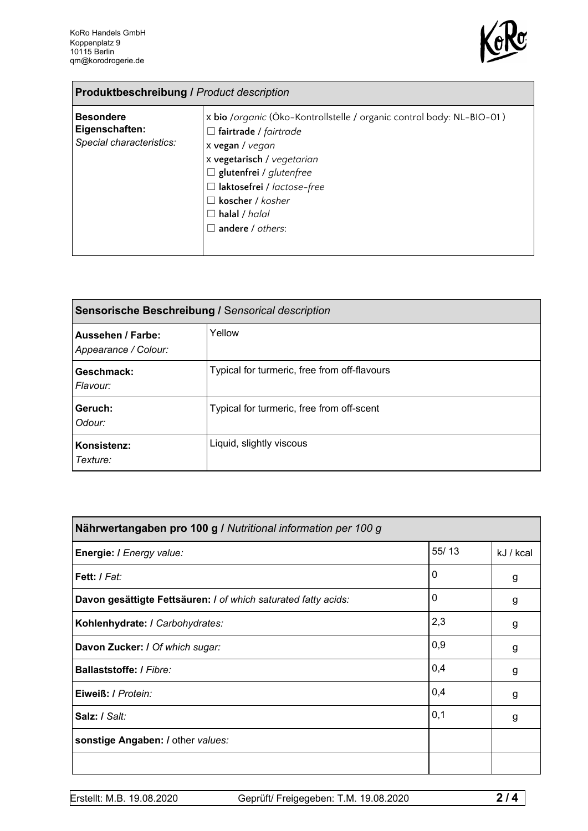

| <b>Produktbeschreibung / Product description</b>               |                                                                                                                                                                                                                                                                                                    |  |  |
|----------------------------------------------------------------|----------------------------------------------------------------------------------------------------------------------------------------------------------------------------------------------------------------------------------------------------------------------------------------------------|--|--|
| <b>Besondere</b><br>Eigenschaften:<br>Special characteristics: | x bio /organic (Öko-Kontrollstelle / organic control body: NL-BIO-01)<br>$\Box$ fairtrade / fairtrade<br>x vegan / vegan<br>x vegetarisch / vegetarian<br>$\Box$ glutenfrei / glutenfree<br>□ laktosefrei / lactose-free<br>$\square$ koscher / kosher<br>$\Box$ halal / halal<br>andere / others: |  |  |

| Sensorische Beschreibung / Sensorical description |                                              |  |
|---------------------------------------------------|----------------------------------------------|--|
| Aussehen / Farbe:<br>Appearance / Colour:         | Yellow                                       |  |
| Geschmack:<br>Flavour:                            | Typical for turmeric, free from off-flavours |  |
| Geruch:<br>Odour:                                 | Typical for turmeric, free from off-scent    |  |
| Konsistenz:<br>Texture:                           | Liquid, slightly viscous                     |  |

| Nährwertangaben pro 100 g / Nutritional information per 100 g  |             |           |  |
|----------------------------------------------------------------|-------------|-----------|--|
| Energie: I Energy value:                                       | 55/13       | kJ / kcal |  |
| Fett: I Fat:                                                   | 0           | g         |  |
| Davon gesättigte Fettsäuren: I of which saturated fatty acids: | $\mathbf 0$ | g         |  |
| Kohlenhydrate: I Carbohydrates:                                | 2,3         | g         |  |
| Davon Zucker: I Of which sugar:                                | 0,9         | g         |  |
| Ballaststoffe: / Fibre:                                        | 0,4         | g         |  |
| Eiweiß: / Protein:                                             | 0,4         | g         |  |
| Salz: / Salt:                                                  | 0,1         | g         |  |
| sonstige Angaben: / other values:                              |             |           |  |
|                                                                |             |           |  |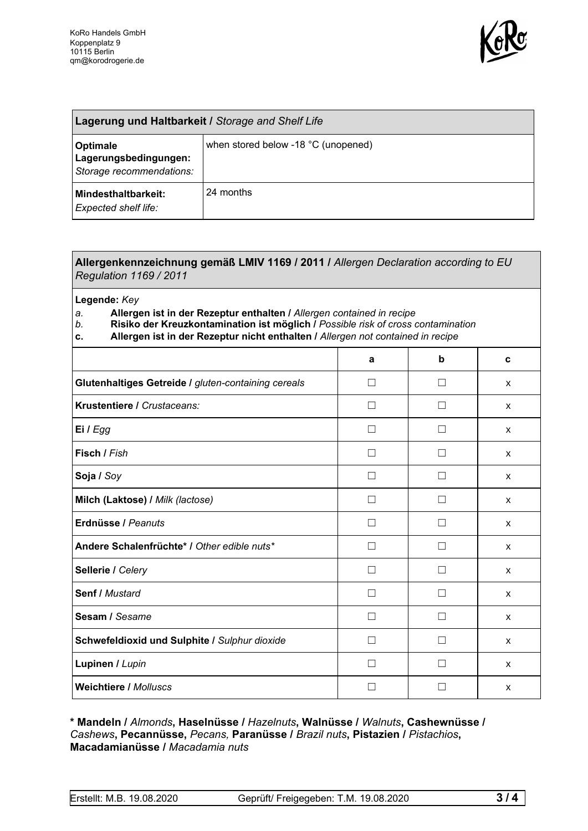

| Lagerung und Haltbarkeit / Storage and Shelf Life                    |                                     |  |
|----------------------------------------------------------------------|-------------------------------------|--|
| <b>Optimale</b><br>Lagerungsbedingungen:<br>Storage recommendations: | when stored below -18 °C (unopened) |  |
| Mindesthaltbarkeit:<br><b>Expected shelf life:</b>                   | 24 months                           |  |

## **Allergenkennzeichnung gemäß LMIV 1169 / 2011 /** *Allergen Declaration according to EU Regulation 1169 / 2011*

**Legende:** *Key*

*a.* **Allergen ist in der Rezeptur enthalten /** *Allergen contained in recipe*

- *b.* **Risiko der Kreuzkontamination ist möglich /** *Possible risk of cross contamination*
- **c. Allergen ist in der Rezeptur nicht enthalten /** *Allergen not contained in recipe*

|                                                     | a            | b                 | C            |
|-----------------------------------------------------|--------------|-------------------|--------------|
| Glutenhaltiges Getreide / gluten-containing cereals | П            | П                 | $\mathsf{x}$ |
| Krustentiere / Crustaceans:                         | П            | П                 | X            |
| Ei / Egg                                            | $\mathsf{L}$ | $\vert \ \ \vert$ | $\mathsf{x}$ |
| Fisch / Fish                                        | П            | $\vert \ \ \vert$ | X            |
| Soja / Soy                                          | $\mathsf{L}$ | $\mathsf{L}$      | $\mathsf{x}$ |
| Milch (Laktose) / Milk (lactose)                    | П            | П                 | X            |
| Erdnüsse / Peanuts                                  | П            | $\mathsf{L}$      | $\mathsf{x}$ |
| Andere Schalenfrüchte* / Other edible nuts*         | П            | П                 | X            |
| Sellerie / Celery                                   | П            | П                 | X            |
| Senf / Mustard                                      | П            | П                 | X            |
| Sesam / Sesame                                      | $\mathsf{L}$ | П                 | X            |
| Schwefeldioxid und Sulphite / Sulphur dioxide       | $\mathsf{L}$ | $\vert \ \ \vert$ | X            |
| Lupinen / Lupin                                     |              | $\mathcal{L}$     | X            |
| <b>Weichtiere / Molluscs</b>                        | $\mathbf{I}$ |                   | X            |

## **\* Mandeln /** *Almonds***, Haselnüsse /** *Hazelnuts***, Walnüsse /** *Walnuts***, Cashewnüsse /** *Cashews***, Pecannüsse,** *Pecans,* **Paranüsse /** *Brazil nuts***, Pistazien /** *Pistachios***, Macadamianüsse /** *Macadamia nuts*